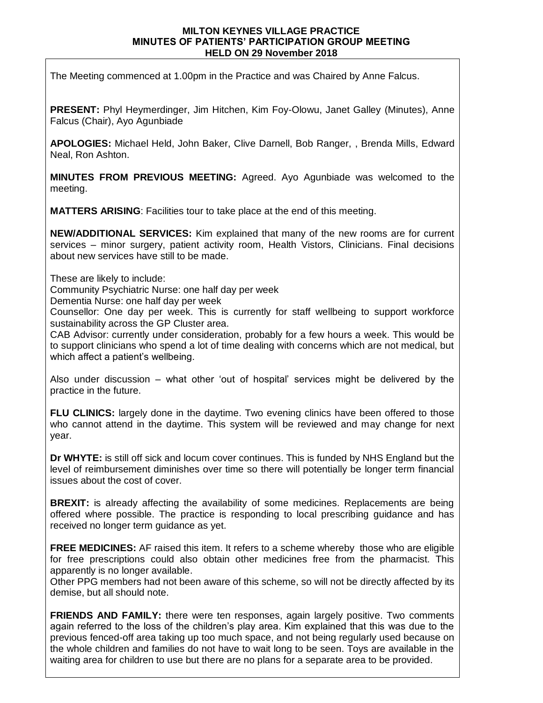## **MILTON KEYNES VILLAGE PRACTICE MINUTES OF PATIENTS' PARTICIPATION GROUP MEETING HELD ON 29 November 2018**

The Meeting commenced at 1.00pm in the Practice and was Chaired by Anne Falcus.

**PRESENT:** Phyl Heymerdinger, Jim Hitchen, Kim Foy-Olowu, Janet Galley (Minutes), Anne Falcus (Chair), Ayo Agunbiade

**APOLOGIES:** Michael Held, John Baker, Clive Darnell, Bob Ranger, , Brenda Mills, Edward Neal, Ron Ashton.

**MINUTES FROM PREVIOUS MEETING:** Agreed. Ayo Agunbiade was welcomed to the meeting.

**MATTERS ARISING**: Facilities tour to take place at the end of this meeting.

**NEW/ADDITIONAL SERVICES:** Kim explained that many of the new rooms are for current services – minor surgery, patient activity room, Health Vistors, Clinicians. Final decisions about new services have still to be made.

These are likely to include:

Community Psychiatric Nurse: one half day per week

Dementia Nurse: one half day per week

Counsellor: One day per week. This is currently for staff wellbeing to support workforce sustainability across the GP Cluster area.

CAB Advisor: currently under consideration, probably for a few hours a week. This would be to support clinicians who spend a lot of time dealing with concerns which are not medical, but which affect a patient's wellbeing.

Also under discussion – what other 'out of hospital' services might be delivered by the practice in the future.

**FLU CLINICS:** largely done in the daytime. Two evening clinics have been offered to those who cannot attend in the daytime. This system will be reviewed and may change for next year.

**Dr WHYTE:** is still off sick and locum cover continues. This is funded by NHS England but the level of reimbursement diminishes over time so there will potentially be longer term financial issues about the cost of cover.

**BREXIT:** is already affecting the availability of some medicines. Replacements are being offered where possible. The practice is responding to local prescribing guidance and has received no longer term guidance as yet.

**FREE MEDICINES:** AF raised this item. It refers to a scheme whereby those who are eligible for free prescriptions could also obtain other medicines free from the pharmacist. This apparently is no longer available.

Other PPG members had not been aware of this scheme, so will not be directly affected by its demise, but all should note.

**FRIENDS AND FAMILY:** there were ten responses, again largely positive. Two comments again referred to the loss of the children's play area. Kim explained that this was due to the previous fenced-off area taking up too much space, and not being regularly used because on the whole children and families do not have to wait long to be seen. Toys are available in the waiting area for children to use but there are no plans for a separate area to be provided.